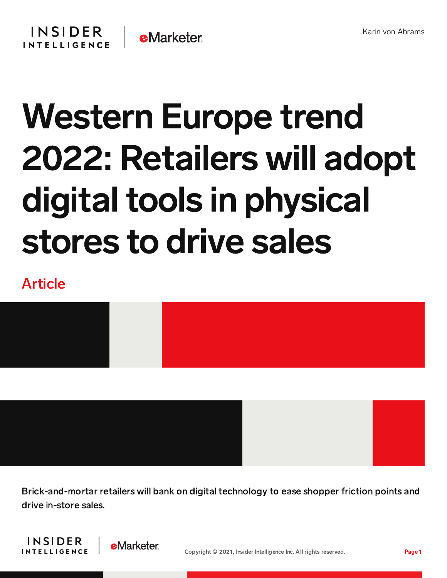

# Western Europe trend 2022: Retailers will adopt digital tools in physical stores to drive sales

## Article



Brick-and-mortar retailers will bank on digital technology to ease shopper friction points and drive in-store sales.



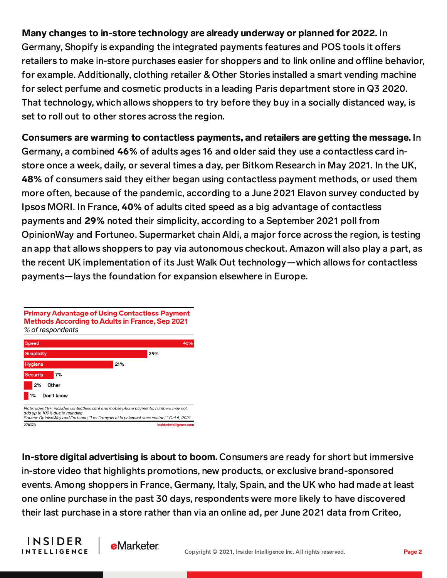#### Many changes to in-store technology are already underway or planned for 2022. In

Germany, Shopify is expanding the integrated payments features and POS tools it offers retailers to make in-store purchases easier for shoppers and to link online and offline behavior, for example. Additionally, clothing retailer & Other Stories installed a smart vending machine for select perfume and cosmetic products in a leading Paris department store in Q3 2020. That technology, which allows shoppers to try before they buy in a socially distanced way, is set to roll out to other stores across the region.

#### Consumers are warming to contactless payments, and retailers are getting the message. In

Germany, a combined 46% of adults ages 16 and older said they use a contactless card instore once a week, daily, or several times a day, per Bitkom Research in May 2021. In the UK, 48% of consumers said they either began using contactless payment methods, or used them more often, because of the pandemic, according to a June 2021 Elavon survey conducted by Ipsos MORI. In France, 40% of adults cited speed as a big advantage of contactless payments and 29% noted their simplicity, according to a September 2021 poll from OpinionWay and Fortuneo. Supermarket chain Aldi, a major force across the region, is testing an app that allows shoppers to pay via autonomous checkout. Amazon will also play a part, as the recent UK implementation of its Just Walk Out technology—which allows for contactless payments—lays the foundation for expansion elsewhere in Europe.



In-store digital advertising is about to boom. Consumers are ready for short but immersive in-store video that highlights promotions, new products, or exclusive brand-sponsored events. Among shoppers in France, Germany, Italy, Spain, and the UK who had made at least one online purchase in the past 30 days, respondents were more likely to have discovered their last purchase in a store rather than via an online ad, per June 2021 data from Criteo,